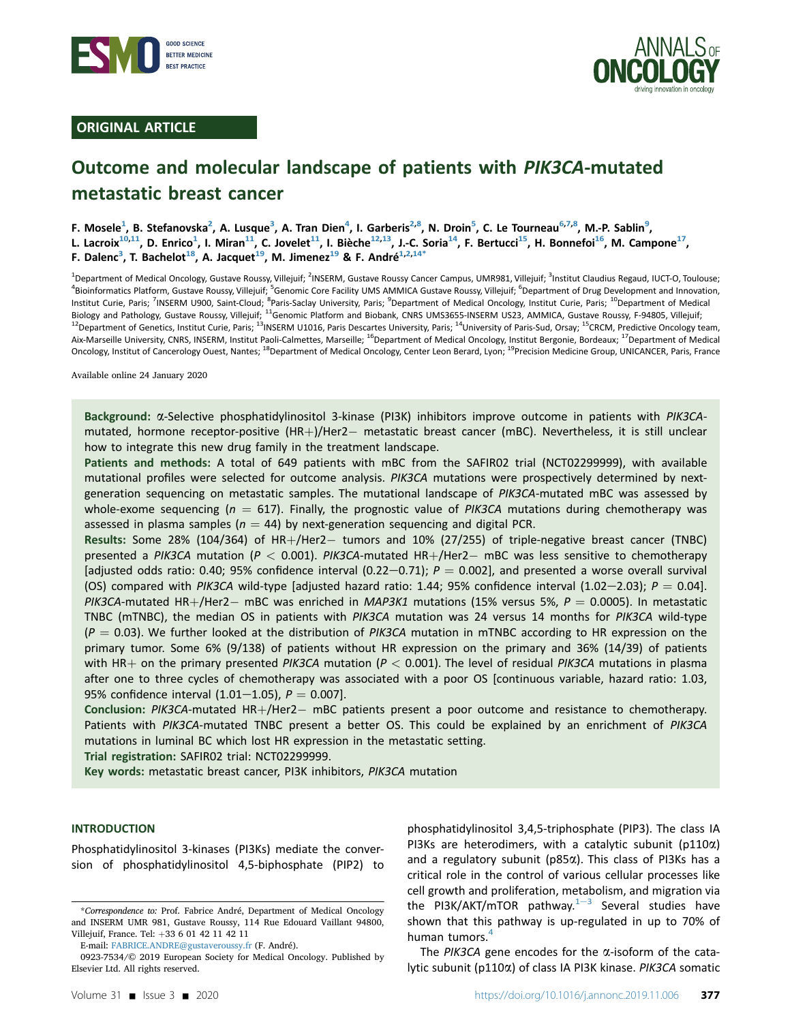

# ORIGINAL ARTICLE



# Outcome and molecular landscape of patients with PIK3CA-mutated metastatic breast cancer

F. Mosele<sup>1</sup>, B. Stefanovska<sup>2</sup>, A. Lusque<sup>3</sup>, A. Tran Dien<sup>4</sup>, I. Garberis<sup>2,8</sup>, N. Droin<sup>5</sup>, C. Le Tourneau<sup>6,7,8</sup>, M.-P. Sablin<sup>9</sup>, L. Lacroix<sup>10,11</sup>, D. Enrico<sup>1</sup>, I. Miran<sup>11</sup>, C. Jovelet<sup>11</sup>, I. Bièche<sup>12,13</sup>, J.-C. Soria<sup>14</sup>, F. Bertucci<sup>15</sup>, H. Bonnefoi<sup>16</sup>, M. Campone<sup>17</sup>, F. Dalenc<sup>3</sup>, T. Bachelot<sup>18</sup>, A. Jacquet<sup>19</sup>, M. Jimenez<sup>19</sup> & F. André<sup>1,2,14\*</sup>

<sup>1</sup>Department of Medical Oncology, Gustave Roussy, Villejuif; <sup>2</sup>INSERM, Gustave Roussy Cancer Campus, UMR981, Villejuif; <sup>3</sup>Institut Claudius Regaud, IUCT-O, Toulouse; <sup>4</sup>Bioinformatics Platform, Gustave Roussy, Villejuif; <sup>5</sup>Genomic Core Facility UMS AMMICA Gustave Roussy, Villejuif; <sup>6</sup>Department of Drug Development and Innovation, Institut Curie, Paris; <sup>7</sup>INSERM U900, Saint-Cloud; <sup>8</sup>Paris-Saclay University, Paris; <sup>9</sup>Department of Medical Oncology, Institut Curie, Paris; <sup>10</sup>Department of Medical Biology and Pathology, Gustave Roussy, Villejuif; <sup>11</sup>Genomic Platform and Biobank, CNRS UMS3655-INSERM US23, AMMICA, Gustave Roussy, F-94805, Villejuif;  $^{12}$ Department of Genetics, Institut Curie, Paris;  $^{13}$ INSERM U1016, Paris Descartes University, Paris;  $^{14}$ University of Paris-Sud, Orsay;  $^{15}$ CRCM, Predictive Oncology team, Aix-Marseille University, CNRS, INSERM, Institut Paoli-Calmettes, Marseille; <sup>16</sup>Department of Medical Oncology, Institut Bergonie, Bordeaux; <sup>17</sup>Department of Medical Oncology, Institut of Cancerology Ouest, Nantes; <sup>18</sup>Department of Medical Oncology, Center Leon Berard, Lyon; <sup>19</sup>Precision Medicine Group, UNICANCER, Paris, France

Available online 24 January 2020

Background: a-Selective phosphatidylinositol 3-kinase (PI3K) inhibitors improve outcome in patients with PIK3CAmutated, hormone receptor-positive (HR+)/Her2- metastatic breast cancer (mBC). Nevertheless, it is still unclear how to integrate this new drug family in the treatment landscape.

Patients and methods: A total of 649 patients with mBC from the SAFIR02 trial (NCT02299999), with available mutational profiles were selected for outcome analysis. PIK3CA mutations were prospectively determined by nextgeneration sequencing on metastatic samples. The mutational landscape of PIK3CA-mutated mBC was assessed by whole-exome sequencing ( $n = 617$ ). Finally, the prognostic value of PIK3CA mutations during chemotherapy was assessed in plasma samples ( $n = 44$ ) by next-generation sequencing and digital PCR.

Results: Some 28% (104/364) of HR+/Her2- tumors and 10% (27/255) of triple-negative breast cancer (TNBC) presented a PIK3CA mutation ( $P < 0.001$ ). PIK3CA-mutated HR+/Her2- mBC was less sensitive to chemotherapy [adjusted odds ratio: 0.40; 95% confidence interval (0.22-0.71);  $P = 0.002$ ], and presented a worse overall survival (OS) compared with PIK3CA wild-type [adjusted hazard ratio: 1.44; 95% confidence interval (1.02-2.03);  $P = 0.04$ ]. PIK3CA-mutated HR+/Her2- mBC was enriched in MAP3K1 mutations (15% versus 5%,  $P = 0.0005$ ). In metastatic TNBC (mTNBC), the median OS in patients with PIK3CA mutation was 24 versus 14 months for PIK3CA wild-type  $(P = 0.03)$ . We further looked at the distribution of PIK3CA mutation in mTNBC according to HR expression on the primary tumor. Some 6% (9/138) of patients without HR expression on the primary and 36% (14/39) of patients with HR+ on the primary presented PIK3CA mutation ( $P < 0.001$ ). The level of residual PIK3CA mutations in plasma after one to three cycles of chemotherapy was associated with a poor OS [continuous variable, hazard ratio: 1.03, 95% confidence interval  $(1.01-1.05)$ ,  $P = 0.007$ ].

Conclusion: PIK3CA-mutated HR+/Her2- mBC patients present a poor outcome and resistance to chemotherapy. Patients with PIK3CA-mutated TNBC present a better OS. This could be explained by an enrichment of PIK3CA mutations in luminal BC which lost HR expression in the metastatic setting.

Trial registration: SAFIR02 trial: NCT02299999.

Key words: metastatic breast cancer, PI3K inhibitors, PIK3CA mutation

#### **INTRODUCTION**

Phosphatidylinositol 3-kinases (PI3Ks) mediate the conversion of phosphatidylinositol 4,5-biphosphate (PIP2) to

E-mail: [FABRICE.ANDRE@gustaveroussy.fr](mailto:FABRICE.ANDRE@gustaveroussy.fr) (F. André).

phosphatidylinositol 3,4,5-triphosphate (PIP3). The class IA PI3Ks are heterodimers, with a catalytic subunit ( $p110\alpha$ ) and a regulatory subunit ( $p85\alpha$ ). This class of PI3Ks has a critical role in the control of various cellular processes like cell growth and proliferation, metabolism, and migration via the PI[3](#page-8-0)K/AKT/mTOR pathway. $1-3$  $1-3$  Several studies have shown that this pathway is up-regulated in up to 70% of human tumors.<sup>[4](#page-8-0)</sup>

The PIK3CA gene encodes for the  $\alpha$ -isoform of the catalytic subunit (p110a) of class IA PI3K kinase. PIK3CA somatic

<sup>\*</sup>Correspondence to: Prof. Fabrice André, Department of Medical Oncology and INSERM UMR 981, Gustave Roussy, 114 Rue Edouard Vaillant 94800, Villejuif, France. Tel: +33 6 01 42 11 42 11

<sup>0923-7534/© 2019</sup> European Society for Medical Oncology. Published by Elsevier Ltd. All rights reserved.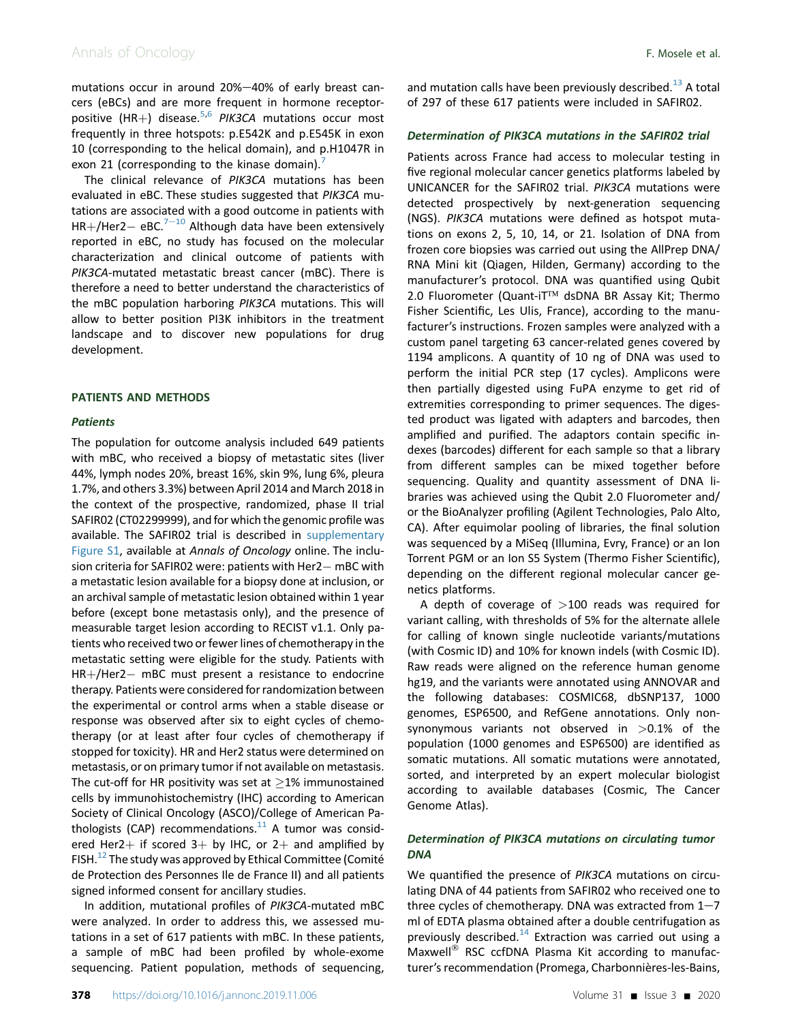# Annals of Oncology **F. Mosele et al.**

mutations occur in around 20%-40% of early breast cancers (eBCs) and are more frequent in hormone receptor-positive (HR+) disease.<sup>[5,6](#page-8-0)</sup> PIK3CA mutations occur most frequently in three hotspots: p.E542K and p.E545K in exon 10 (corresponding to the helical domain), and p.H1047R in exon 21 (corresponding to the kinase domain).

The clinical relevance of PIK3CA mutations has been evaluated in eBC. These studies suggested that PIK3CA mutations are associated with a good outcome in patients with  $HR+/Her2 - eBC.<sup>7-10</sup>$  $HR+/Her2 - eBC.<sup>7-10</sup>$  $HR+/Her2 - eBC.<sup>7-10</sup>$  $HR+/Her2 - eBC.<sup>7-10</sup>$  $HR+/Her2 - eBC.<sup>7-10</sup>$  Although data have been extensively reported in eBC, no study has focused on the molecular characterization and clinical outcome of patients with PIK3CA-mutated metastatic breast cancer (mBC). There is therefore a need to better understand the characteristics of the mBC population harboring PIK3CA mutations. This will allow to better position PI3K inhibitors in the treatment landscape and to discover new populations for drug development.

## PATIENTS AND METHODS

## **Patients**

The population for outcome analysis included 649 patients with mBC, who received a biopsy of metastatic sites (liver 44%, lymph nodes 20%, breast 16%, skin 9%, lung 6%, pleura 1.7%, and others 3.3%) between April 2014 and March 2018 in the context of the prospective, randomized, phase II trial SAFIR02 (CT02299999), and for which the genomic profile was available. The SAFIR02 trial is described in supplementary Figure S1, available at Annals of Oncology online. The inclu- $\mathop{\mathsf{sign}}$  criteria for SAFIR02 were: patients with Her $2-$  mBC with a metastatic lesion available for a biopsy done at inclusion, or an archival sample of metastatic lesion obtained within 1 year before (except bone metastasis only), and the presence of measurable target lesion according to RECIST v1.1. Only patients who received two or fewer lines of chemotherapy in the metastatic setting were eligible for the study. Patients with HR+/Her2- mBC must present a resistance to endocrine therapy. Patients were considered for randomization between the experimental or control arms when a stable disease or response was observed after six to eight cycles of chemotherapy (or at least after four cycles of chemotherapy if stopped for toxicity). HR and Her2 status were determined on metastasis, or on primary tumor if not available on metastasis. The cut-off for HR positivity was set at  $\geq$ 1% immunostained cells by immunohistochemistry (IHC) according to American Society of Clinical Oncology (ASCO)/College of American Pathologists (CAP) recommendations. $11$  A tumor was considered Her2+ if scored  $3+$  by IHC, or 2+ and amplified by FISH.<sup>12</sup> The study was approved by Ethical Committee (Comité de Protection des Personnes Ile de France II) and all patients signed informed consent for ancillary studies.

In addition, mutational profiles of PIK3CA-mutated mBC were analyzed. In order to address this, we assessed mutations in a set of 617 patients with mBC. In these patients, a sample of mBC had been profiled by whole-exome sequencing. Patient population, methods of sequencing,

and mutation calls have been previously described.<sup>[13](#page-8-0)</sup> A total of 297 of these 617 patients were included in SAFIR02.

#### Determination of PIK3CA mutations in the SAFIR02 trial

Patients across France had access to molecular testing in five regional molecular cancer genetics platforms labeled by UNICANCER for the SAFIR02 trial. PIK3CA mutations were detected prospectively by next-generation sequencing (NGS). PIK3CA mutations were defined as hotspot mutations on exons 2, 5, 10, 14, or 21. Isolation of DNA from frozen core biopsies was carried out using the AllPrep DNA/ RNA Mini kit (Qiagen, Hilden, Germany) according to the manufacturer's protocol. DNA was quantified using Qubit 2.0 Fluorometer (Quant-iT™ dsDNA BR Assay Kit; Thermo Fisher Scientific, Les Ulis, France), according to the manufacturer's instructions. Frozen samples were analyzed with a custom panel targeting 63 cancer-related genes covered by 1194 amplicons. A quantity of 10 ng of DNA was used to perform the initial PCR step (17 cycles). Amplicons were then partially digested using FuPA enzyme to get rid of extremities corresponding to primer sequences. The digested product was ligated with adapters and barcodes, then amplified and purified. The adaptors contain specific indexes (barcodes) different for each sample so that a library from different samples can be mixed together before sequencing. Quality and quantity assessment of DNA libraries was achieved using the Qubit 2.0 Fluorometer and/ or the BioAnalyzer profiling (Agilent Technologies, Palo Alto, CA). After equimolar pooling of libraries, the final solution was sequenced by a MiSeq (Illumina, Evry, France) or an Ion Torrent PGM or an Ion S5 System (Thermo Fisher Scientific), depending on the different regional molecular cancer genetics platforms.

A depth of coverage of  $>100$  reads was required for variant calling, with thresholds of 5% for the alternate allele for calling of known single nucleotide variants/mutations (with Cosmic ID) and 10% for known indels (with Cosmic ID). Raw reads were aligned on the reference human genome hg19, and the variants were annotated using ANNOVAR and the following databases: COSMIC68, dbSNP137, 1000 genomes, ESP6500, and RefGene annotations. Only nonsynonymous variants not observed in  $>0.1\%$  of the population (1000 genomes and ESP6500) are identified as somatic mutations. All somatic mutations were annotated, sorted, and interpreted by an expert molecular biologist according to available databases (Cosmic, The Cancer Genome Atlas).

# Determination of PIK3CA mutations on circulating tumor DNA

We quantified the presence of PIK3CA mutations on circulating DNA of 44 patients from SAFIR02 who received one to three cycles of chemotherapy. DNA was extracted from  $1-7$ ml of EDTA plasma obtained after a double centrifugation as previously described.<sup>[14](#page-8-0)</sup> Extraction was carried out using a Maxwell $^{\circledR}$  RSC ccfDNA Plasma Kit according to manufacturer's recommendation (Promega, Charbonnières-les-Bains,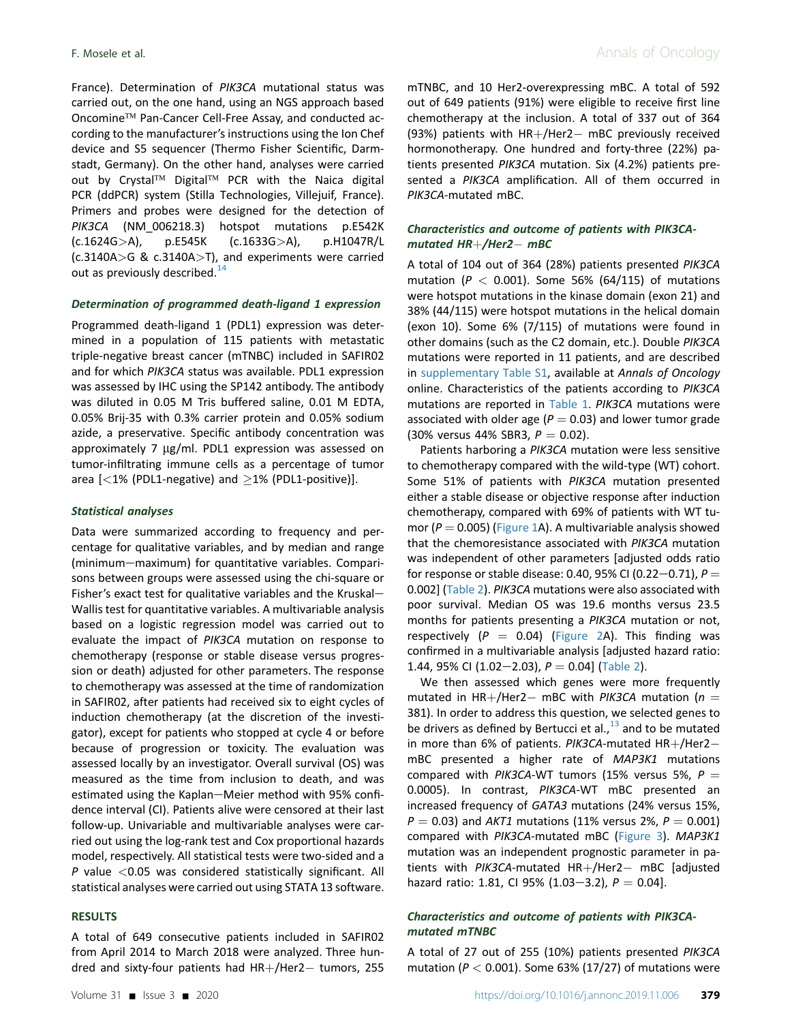France). Determination of PIK3CA mutational status was carried out, on the one hand, using an NGS approach based Oncomine<sup>™</sup> Pan-Cancer Cell-Free Assay, and conducted according to the manufacturer's instructions using the Ion Chef device and S5 sequencer (Thermo Fisher Scientific, Darmstadt, Germany). On the other hand, analyses were carried out by Crystal<sup>TM</sup> Digital<sup>TM</sup> PCR with the Naica digital PCR (ddPCR) system (Stilla Technologies, Villejuif, France). Primers and probes were designed for the detection of PIK3CA (NM\_006218.3) hotspot mutations p.E542K (c.1624G>A), p.E545K (c.1633G>A), p.H1047R/L (c.3140A>G & c.3140A>T), and experiments were carried out as previously described. $14$ 

#### Determination of programmed death-ligand 1 expression

Programmed death-ligand 1 (PDL1) expression was determined in a population of 115 patients with metastatic triple-negative breast cancer (mTNBC) included in SAFIR02 and for which PIK3CA status was available. PDL1 expression was assessed by IHC using the SP142 antibody. The antibody was diluted in 0.05 M Tris buffered saline, 0.01 M EDTA, 0.05% Brij-35 with 0.3% carrier protein and 0.05% sodium azide, a preservative. Specific antibody concentration was approximately 7  $\mu$ g/ml. PDL1 expression was assessed on tumor-infiltrating immune cells as a percentage of tumor area  $\left[$  <1% (PDL1-negative) and  $\geq$ 1% (PDL1-positive)].

#### Statistical analyses

Data were summarized according to frequency and percentage for qualitative variables, and by median and range (minimum-maximum) for quantitative variables. Comparisons between groups were assessed using the chi-square or Fisher's exact test for qualitative variables and the Kruskal-Wallis test for quantitative variables. A multivariable analysis based on a logistic regression model was carried out to evaluate the impact of PIK3CA mutation on response to chemotherapy (response or stable disease versus progression or death) adjusted for other parameters. The response to chemotherapy was assessed at the time of randomization in SAFIR02, after patients had received six to eight cycles of induction chemotherapy (at the discretion of the investigator), except for patients who stopped at cycle 4 or before because of progression or toxicity. The evaluation was assessed locally by an investigator. Overall survival (OS) was measured as the time from inclusion to death, and was estimated using the Kaplan-Meier method with 95% confidence interval (CI). Patients alive were censored at their last follow-up. Univariable and multivariable analyses were carried out using the log-rank test and Cox proportional hazards model, respectively. All statistical tests were two-sided and a P value  $<$  0.05 was considered statistically significant. All statistical analyses were carried out using STATA 13 software.

## RESULTS

A total of 649 consecutive patients included in SAFIR02 from April 2014 to March 2018 were analyzed. Three hundred and sixty-four patients had  $HR+/Her2-$  tumors, 255

mTNBC, and 10 Her2-overexpressing mBC. A total of 592 out of 649 patients (91%) were eligible to receive first line chemotherapy at the inclusion. A total of 337 out of 364  $(93%)$  patients with  $HR+/Her2-$  mBC previously received hormonotherapy. One hundred and forty-three (22%) patients presented PIK3CA mutation. Six (4.2%) patients presented a PIK3CA amplification. All of them occurred in PIK3CA-mutated mBC.

# Characteristics and outcome of patients with PIK3CAmutated  $HR+ /$ Her $2-$  mBC

A total of 104 out of 364 (28%) patients presented PIK3CA mutation ( $P < 0.001$ ). Some 56% (64/115) of mutations were hotspot mutations in the kinase domain (exon 21) and 38% (44/115) were hotspot mutations in the helical domain (exon 10). Some 6% (7/115) of mutations were found in other domains (such as the C2 domain, etc.). Double PIK3CA mutations were reported in 11 patients, and are described in supplementary Table S1, available at Annals of Oncology online. Characteristics of the patients according to PIK3CA mutations are reported in [Table 1](#page-3-0). PIK3CA mutations were associated with older age ( $P = 0.03$ ) and lower tumor grade (30% versus 44% SBR3,  $P = 0.02$ ).

Patients harboring a PIK3CA mutation were less sensitive to chemotherapy compared with the wild-type (WT) cohort. Some 51% of patients with PIK3CA mutation presented either a stable disease or objective response after induction chemotherapy, compared with 69% of patients with WT tumor ( $P = 0.005$ ) [\(Figure 1](#page-4-0)A). A multivariable analysis showed that the chemoresistance associated with PIK3CA mutation was independent of other parameters [adjusted odds ratio for response or stable disease: 0.40, 95% CI (0.22–0.71),  $P =$ 0.002] ([Table 2](#page-4-0)). PIK3CA mutations were also associated with poor survival. Median OS was 19.6 months versus 23.5 months for patients presenting a PIK3CA mutation or not, respectively ( $P = 0.04$ ) ([Figure 2A](#page-5-0)). This finding was confirmed in a multivariable analysis [adjusted hazard ratio: 1.44, 95% CI (1.02-2.03),  $P = 0.04$ ] ([Table 2](#page-4-0)).

We then assessed which genes were more frequently mutated in  $HR+/Her2- mBC$  with PIK3CA mutation ( $n =$ 381). In order to address this question, we selected genes to be drivers as defined by Bertucci et al., $^{13}$  $^{13}$  $^{13}$  and to be mutated in more than 6% of patients.  $PIK3CA$ -mutated  $HR+/Her2$ mBC presented a higher rate of MAP3K1 mutations compared with PIK3CA-WT tumors (15% versus 5%,  $P =$ 0.0005). In contrast, PIK3CA-WT mBC presented an increased frequency of GATA3 mutations (24% versus 15%,  $P = 0.03$ ) and AKT1 mutations (11% versus 2%,  $P = 0.001$ ) compared with PIK3CA-mutated mBC [\(Figure 3\)](#page-6-0). MAP3K1 mutation was an independent prognostic parameter in patients with PIK3CA-mutated HR+/Her2- mBC [adjusted hazard ratio: 1.81, CI 95% (1.03-3.2),  $P = 0.04$ ].

# Characteristics and outcome of patients with PIK3CAmutated mTNBC

A total of 27 out of 255 (10%) patients presented PIK3CA mutation ( $P < 0.001$ ). Some 63% (17/27) of mutations were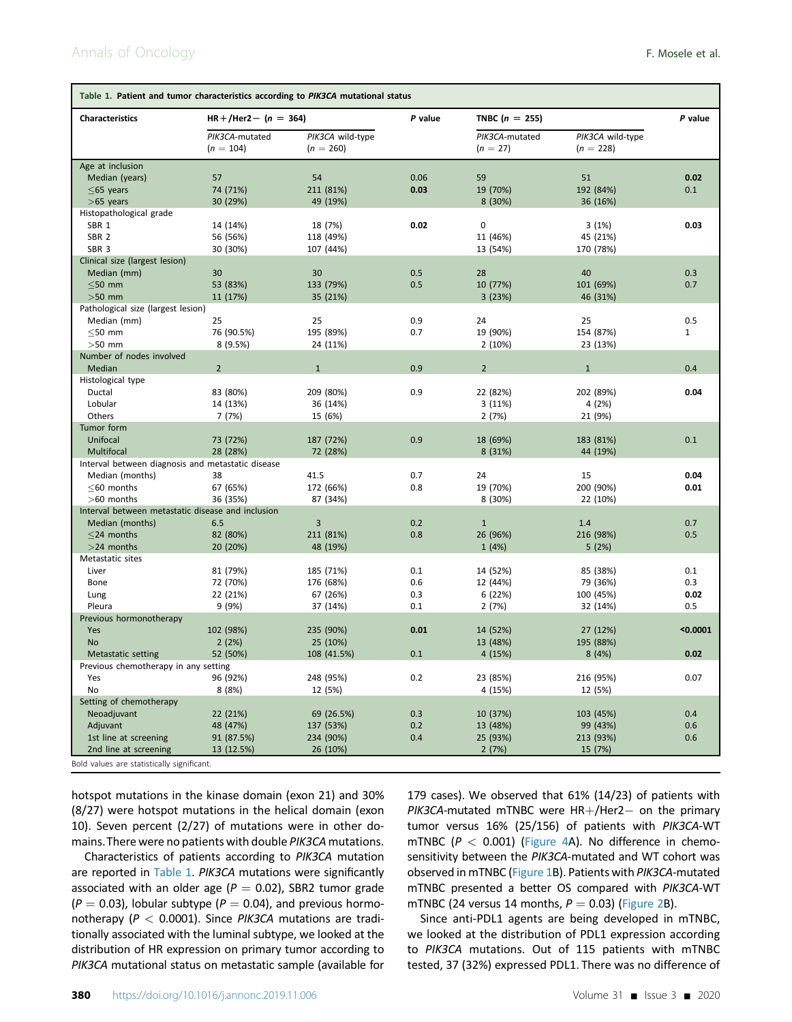<span id="page-3-0"></span>

| Table 1. Patient and tumor characteristics according to PIK3CA mutational status |                               |                                 |         |                              |                                 |              |  |  |  |  |
|----------------------------------------------------------------------------------|-------------------------------|---------------------------------|---------|------------------------------|---------------------------------|--------------|--|--|--|--|
| <b>Characteristics</b>                                                           | $HR + / Her2 - (n = 364)$     |                                 | P value | TNBC ( $n = 255$ )           | P value                         |              |  |  |  |  |
|                                                                                  | PIK3CA-mutated<br>$(n = 104)$ | PIK3CA wild-type<br>$(n = 260)$ |         | PIK3CA-mutated<br>$(n = 27)$ | PIK3CA wild-type<br>$(n = 228)$ |              |  |  |  |  |
| Age at inclusion                                                                 |                               |                                 |         |                              |                                 |              |  |  |  |  |
| Median (years)                                                                   | 57                            | 54                              | 0.06    | 59                           | 51                              | 0.02         |  |  |  |  |
| $<$ 65 years                                                                     | 74 (71%)                      | 211 (81%)                       | 0.03    | 19 (70%)                     | 192 (84%)                       | 0.1          |  |  |  |  |
| $>65$ years                                                                      | 30 (29%)                      | 49 (19%)                        |         | 8 (30%)                      | 36 (16%)                        |              |  |  |  |  |
| Histopathological grade                                                          |                               |                                 |         |                              |                                 |              |  |  |  |  |
| SBR 1                                                                            | 14 (14%)                      | 18 (7%)                         | 0.02    | $\mathbf 0$                  | 3(1%)                           | 0.03         |  |  |  |  |
| SBR <sub>2</sub>                                                                 | 56 (56%)                      | 118 (49%)                       |         | 11 (46%)                     | 45 (21%)                        |              |  |  |  |  |
| SBR <sub>3</sub>                                                                 | 30 (30%)                      | 107 (44%)                       |         | 13 (54%)                     | 170 (78%)                       |              |  |  |  |  |
| Clinical size (largest lesion)                                                   |                               |                                 |         |                              |                                 |              |  |  |  |  |
| Median (mm)                                                                      | 30                            | 30                              | 0.5     | 28                           | 40                              | 0.3          |  |  |  |  |
| $<$ 50 mm                                                                        | 53 (83%)                      | 133 (79%)                       | 0.5     | 10 (77%)                     | 101 (69%)                       | 0.7          |  |  |  |  |
| $>50$ mm                                                                         | 11 (17%)                      | 35 (21%)                        |         | 3(23%)                       | 46 (31%)                        |              |  |  |  |  |
| Pathological size (largest lesion)                                               |                               |                                 |         |                              |                                 |              |  |  |  |  |
| Median (mm)                                                                      | 25                            | 25                              | 0.9     | 24                           | 25                              | 0.5          |  |  |  |  |
| $\leq$ 50 mm                                                                     | 76 (90.5%)                    | 195 (89%)                       | 0.7     | 19 (90%)                     | 154 (87%)                       | $\mathbf{1}$ |  |  |  |  |
| $>50$ mm                                                                         | 8(9.5%)                       | 24 (11%)                        |         | 2(10%)                       | 23 (13%)                        |              |  |  |  |  |
| Number of nodes involved                                                         |                               |                                 |         |                              |                                 |              |  |  |  |  |
| Median                                                                           | $\overline{2}$                | $\mathbf{1}$                    | 0.9     | $\overline{2}$               | $\mathbf{1}$                    | 0.4          |  |  |  |  |
| Histological type                                                                |                               |                                 |         |                              |                                 |              |  |  |  |  |
| Ductal<br>Lobular                                                                | 83 (80%)                      | 209 (80%)                       | 0.9     | 22 (82%)                     | 202 (89%)                       | 0.04         |  |  |  |  |
| Others                                                                           | 14 (13%)<br>7 (7%)            | 36 (14%)                        |         | 3 (11%)                      | 4 (2%)                          |              |  |  |  |  |
| Tumor form                                                                       |                               | 15 (6%)                         |         | 2(7%)                        | 21 (9%)                         |              |  |  |  |  |
| Unifocal                                                                         | 73 (72%)                      | 187 (72%)                       | 0.9     | 18 (69%)                     | 183 (81%)                       | 0.1          |  |  |  |  |
| Multifocal                                                                       | 28 (28%)                      | 72 (28%)                        |         | 8 (31%)                      | 44 (19%)                        |              |  |  |  |  |
| Interval between diagnosis and metastatic disease                                |                               |                                 |         |                              |                                 |              |  |  |  |  |
| Median (months)                                                                  | 38                            | 41.5                            | 0.7     | 24                           | 15                              | 0.04         |  |  |  |  |
| $<$ 60 months                                                                    | 67 (65%)                      | 172 (66%)                       | 0.8     | 19 (70%)                     | 200 (90%)                       | 0.01         |  |  |  |  |
| >60 months                                                                       | 36 (35%)                      | 87 (34%)                        |         | 8 (30%)                      | 22 (10%)                        |              |  |  |  |  |
| Interval between metastatic disease and inclusion                                |                               |                                 |         |                              |                                 |              |  |  |  |  |
| Median (months)                                                                  | 6.5                           | 3                               | 0.2     | $\mathbf{1}$                 | 1.4                             | 0.7          |  |  |  |  |
| $<$ 24 months                                                                    | 82 (80%)                      | 211 (81%)                       | 0.8     | 26 (96%)                     | 216 (98%)                       | 0.5          |  |  |  |  |
| $>$ 24 months                                                                    | 20 (20%)                      | 48 (19%)                        |         | 1(4%)                        | 5(2%)                           |              |  |  |  |  |
| Metastatic sites                                                                 |                               |                                 |         |                              |                                 |              |  |  |  |  |
| Liver                                                                            | 81 (79%)                      | 185 (71%)                       | 0.1     | 14 (52%)                     | 85 (38%)                        | 0.1          |  |  |  |  |
| Bone                                                                             | 72 (70%)                      | 176 (68%)                       | 0.6     | 12 (44%)                     | 79 (36%)                        | 0.3          |  |  |  |  |
| Lung                                                                             | 22 (21%)                      | 67 (26%)                        | 0.3     | 6 (22%)                      | 100 (45%)                       | 0.02         |  |  |  |  |
| Pleura                                                                           | 9 (9%)                        | 37 (14%)                        | 0.1     | 2(7%)                        | 32 (14%)                        | 0.5          |  |  |  |  |
| Previous hormonotherapy                                                          |                               |                                 |         |                              |                                 |              |  |  |  |  |
| Yes                                                                              | 102 (98%)                     | 235 (90%)                       | 0.01    | 14 (52%)                     | 27 (12%)                        | $0.0001$     |  |  |  |  |
| No                                                                               | 2(2%)                         | 25 (10%)                        |         | 13 (48%)                     | 195 (88%)                       |              |  |  |  |  |
| Metastatic setting                                                               | 52 (50%)                      | 108 (41.5%)                     | 0.1     | 4 (15%)                      | 8(4%)                           | 0.02         |  |  |  |  |
| Previous chemotherapy in any setting                                             |                               |                                 |         |                              |                                 |              |  |  |  |  |
| Yes                                                                              | 96 (92%)                      | 248 (95%)                       | 0.2     | 23 (85%)                     | 216 (95%)                       | 0.07         |  |  |  |  |
| No                                                                               | 8(8%)                         | 12 (5%)                         |         | 4 (15%)                      | 12 (5%)                         |              |  |  |  |  |
| Setting of chemotherapy                                                          |                               |                                 |         |                              |                                 |              |  |  |  |  |
| Neoadjuvant                                                                      | 22 (21%)                      | 69 (26.5%)                      | 0.3     | 10 (37%)                     | 103 (45%)                       | 0.4          |  |  |  |  |
| Adjuvant                                                                         | 48 (47%)                      | 137 (53%)                       | 0.2     | 13 (48%)                     | 99 (43%)                        | 0.6          |  |  |  |  |
| 1st line at screening                                                            | 91 (87.5%)                    | 234 (90%)                       | 0.4     | 25 (93%)                     | 213 (93%)                       | 0.6          |  |  |  |  |
| 2nd line at screening                                                            | 13 (12.5%)                    | 26 (10%)                        |         | 2(7%)                        | 15 (7%)                         |              |  |  |  |  |
| Bold values are statistically significant.                                       |                               |                                 |         |                              |                                 |              |  |  |  |  |

hotspot mutations in the kinase domain (exon 21) and 30% (8/27) were hotspot mutations in the helical domain (exon 10). Seven percent (2/27) of mutations were in other domains.There were no patients with double PIK3CA mutations.

Characteristics of patients according to PIK3CA mutation are reported in Table 1. PIK3CA mutations were significantly associated with an older age ( $P = 0.02$ ), SBR2 tumor grade  $(P = 0.03)$ , lobular subtype ( $P = 0.04$ ), and previous hormonotherapy ( $P < 0.0001$ ). Since PIK3CA mutations are traditionally associated with the luminal subtype, we looked at the distribution of HR expression on primary tumor according to PIK3CA mutational status on metastatic sample (available for 179 cases). We observed that 61% (14/23) of patients with  $PIK3CA$ -mutated mTNBC were  $HR+/Her2-$  on the primary tumor versus 16% (25/156) of patients with PIK3CA-WT mTNBC ( $P < 0.001$ ) [\(Figure 4A](#page-6-0)). No difference in chemosensitivity between the PIK3CA-mutated and WT cohort was observed in mTNBC [\(Figure 1](#page-4-0)B). Patients with PIK3CA-mutated mTNBC presented a better OS compared with PIK3CA-WT mTNBC (24 versus 14 months,  $P = 0.03$ ) [\(Figure 2](#page-5-0)B).

Since anti-PDL1 agents are being developed in mTNBC, we looked at the distribution of PDL1 expression according to PIK3CA mutations. Out of 115 patients with mTNBC tested, 37 (32%) expressed PDL1. There was no difference of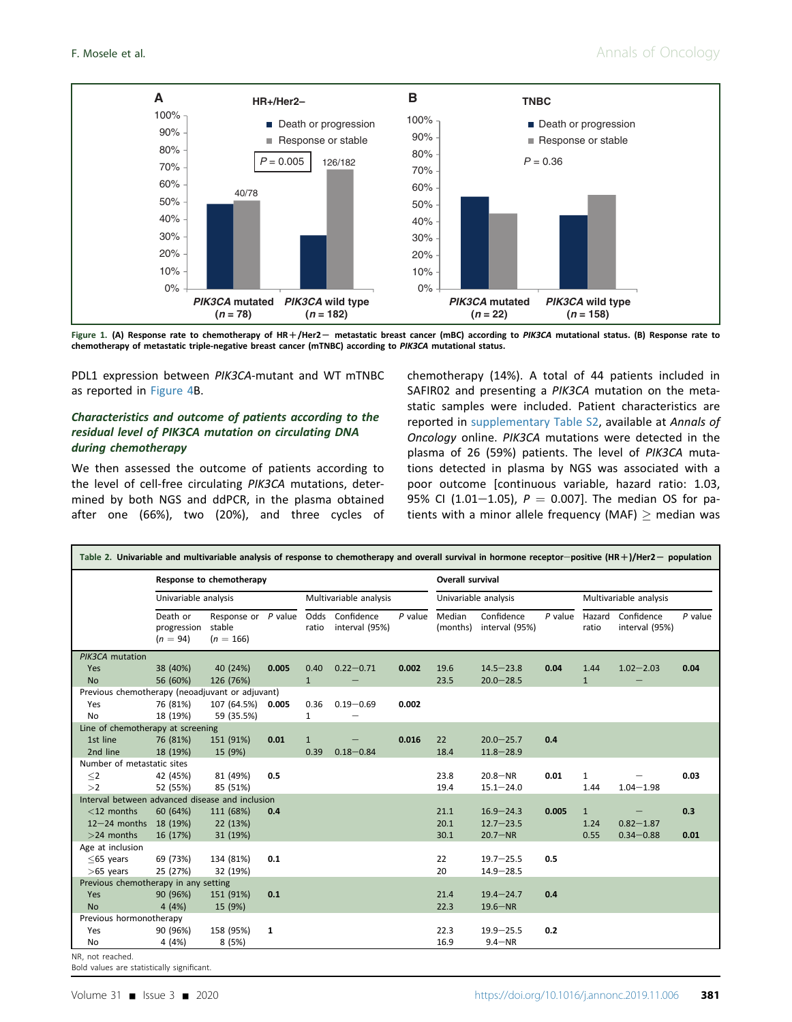<span id="page-4-0"></span>

Figure 1. (A) Response rate to chemotherapy of HR+/Her2- metastatic breast cancer (mBC) according to PIK3CA mutational status. (B) Response rate to chemotherapy of metastatic triple-negative breast cancer (mTNBC) according to PIK3CA mutational status.

PDL1 expression between PIK3CA-mutant and WT mTNBC as reported in [Figure 4B](#page-6-0).

# Characteristics and outcome of patients according to the residual level of PIK3CA mutation on circulating DNA during chemotherapy

We then assessed the outcome of patients according to the level of cell-free circulating PIK3CA mutations, determined by both NGS and ddPCR, in the plasma obtained after one (66%), two (20%), and three cycles of chemotherapy (14%). A total of 44 patients included in SAFIR02 and presenting a PIK3CA mutation on the metastatic samples were included. Patient characteristics are reported in supplementary Table S2, available at Annals of Oncology online. PIK3CA mutations were detected in the plasma of 26 (59%) patients. The level of PIK3CA mutations detected in plasma by NGS was associated with a poor outcome [continuous variable, hazard ratio: 1.03, 95% CI (1.01-1.05),  $P = 0.007$ ]. The median OS for patients with a minor allele frequency (MAF)  $\geq$  median was

|                                                 | Response to chemotherapy              |                                              |                        |              |                                   |           | Overall survival   |                              |           |                 |                              |           |  |
|-------------------------------------------------|---------------------------------------|----------------------------------------------|------------------------|--------------|-----------------------------------|-----------|--------------------|------------------------------|-----------|-----------------|------------------------------|-----------|--|
|                                                 | Univariable analysis                  |                                              | Multivariable analysis |              | Univariable analysis              |           |                    | Multivariable analysis       |           |                 |                              |           |  |
|                                                 | Death or<br>progression<br>$(n = 94)$ | Response or P value<br>stable<br>$(n = 166)$ |                        | ratio        | Odds Confidence<br>interval (95%) | $P$ value | Median<br>(months) | Confidence<br>interval (95%) | $P$ value | Hazard<br>ratio | Confidence<br>interval (95%) | $P$ value |  |
| PIK3CA mutation                                 |                                       |                                              |                        |              |                                   |           |                    |                              |           |                 |                              |           |  |
| Yes                                             | 38 (40%)                              | 40 (24%)                                     | 0.005                  | 0.40         | $0.22 - 0.71$                     | 0.002     | 19.6               | $14.5 - 23.8$                | 0.04      | 1.44            | $1.02 - 2.03$                | 0.04      |  |
| <b>No</b>                                       | 56 (60%)                              | 126 (76%)                                    |                        | $\mathbf{1}$ |                                   |           | 23.5               | $20.0 - 28.5$                |           | $\mathbf{1}$    |                              |           |  |
| Previous chemotherapy (neoadjuvant or adjuvant) |                                       |                                              |                        |              |                                   |           |                    |                              |           |                 |                              |           |  |
| Yes                                             | 76 (81%)                              | 107 (64.5%)                                  | 0.005                  | 0.36         | $0.19 - 0.69$                     | 0.002     |                    |                              |           |                 |                              |           |  |
| <b>No</b>                                       | 18 (19%)                              | 59 (35.5%)                                   |                        | $\mathbf{1}$ |                                   |           |                    |                              |           |                 |                              |           |  |
| Line of chemotherapy at screening               |                                       |                                              |                        |              |                                   |           |                    |                              |           |                 |                              |           |  |
| 1st line                                        | 76 (81%)                              | 151 (91%)                                    | 0.01                   | $\mathbf{1}$ |                                   | 0.016     | 22                 | $20.0 - 25.7$                | 0.4       |                 |                              |           |  |
| 2nd line                                        | 18 (19%)                              | 15 (9%)                                      |                        | 0.39         | $0.18 - 0.84$                     |           | 18.4               | $11.8 - 28.9$                |           |                 |                              |           |  |
| Number of metastatic sites                      |                                       |                                              |                        |              |                                   |           |                    |                              |           |                 |                              |           |  |
| $\leq$                                          | 42 (45%)                              | 81 (49%)                                     | 0.5                    |              |                                   |           | 23.8               | $20.8 - NR$                  | 0.01      | $\mathbf{1}$    |                              | 0.03      |  |
| >2                                              | 52 (55%)                              | 85 (51%)                                     |                        |              |                                   |           | 19.4               | $15.1 - 24.0$                |           | 1.44            | $1.04 - 1.98$                |           |  |
| Interval between advanced disease and inclusion |                                       |                                              |                        |              |                                   |           |                    |                              |           |                 |                              |           |  |
| $<$ 12 months                                   | 60 (64%)                              | 111 (68%)                                    | 0.4                    |              |                                   |           | 21.1               | $16.9 - 24.3$                | 0.005     | $\mathbf{1}$    |                              | 0.3       |  |
| 12-24 months 18 (19%)                           |                                       | 22 (13%)                                     |                        |              |                                   |           | 20.1               | $12.7 - 23.5$                |           | 1.24            | $0.82 - 1.87$                |           |  |
| $>$ 24 months                                   | 16 (17%)                              | 31 (19%)                                     |                        |              |                                   |           | 30.1               | $20.7 - NR$                  |           | 0.55            | $0.34 - 0.88$                | 0.01      |  |
| Age at inclusion                                |                                       |                                              |                        |              |                                   |           |                    |                              |           |                 |                              |           |  |
| $\leq$ 65 years                                 | 69 (73%)                              | 134 (81%)                                    | 0.1                    |              |                                   |           | 22                 | $19.7 - 25.5$                | 0.5       |                 |                              |           |  |
| $>65$ years                                     | 25 (27%)                              | 32 (19%)                                     |                        |              |                                   |           | 20                 | $14.9 - 28.5$                |           |                 |                              |           |  |
| Previous chemotherapy in any setting            |                                       |                                              |                        |              |                                   |           |                    |                              |           |                 |                              |           |  |
| Yes                                             | 90 (96%)                              | 151 (91%)                                    | 0.1                    |              |                                   |           | 21.4               | $19.4 - 24.7$                | 0.4       |                 |                              |           |  |
| <b>No</b>                                       | 4(4%)                                 | 15 (9%)                                      |                        |              |                                   |           | 22.3               | $19.6 - NR$                  |           |                 |                              |           |  |
| Previous hormonotherapy                         |                                       |                                              |                        |              |                                   |           |                    |                              |           |                 |                              |           |  |
| Yes                                             | 90 (96%)                              | 158 (95%)                                    | 1                      |              |                                   |           | 22.3               | $19.9 - 25.5$                | 0.2       |                 |                              |           |  |
| No                                              | 4 (4%)                                | 8(5%)                                        |                        |              |                                   |           | 16.9               | $9.4 - NR$                   |           |                 |                              |           |  |

Bold values are statistically significant.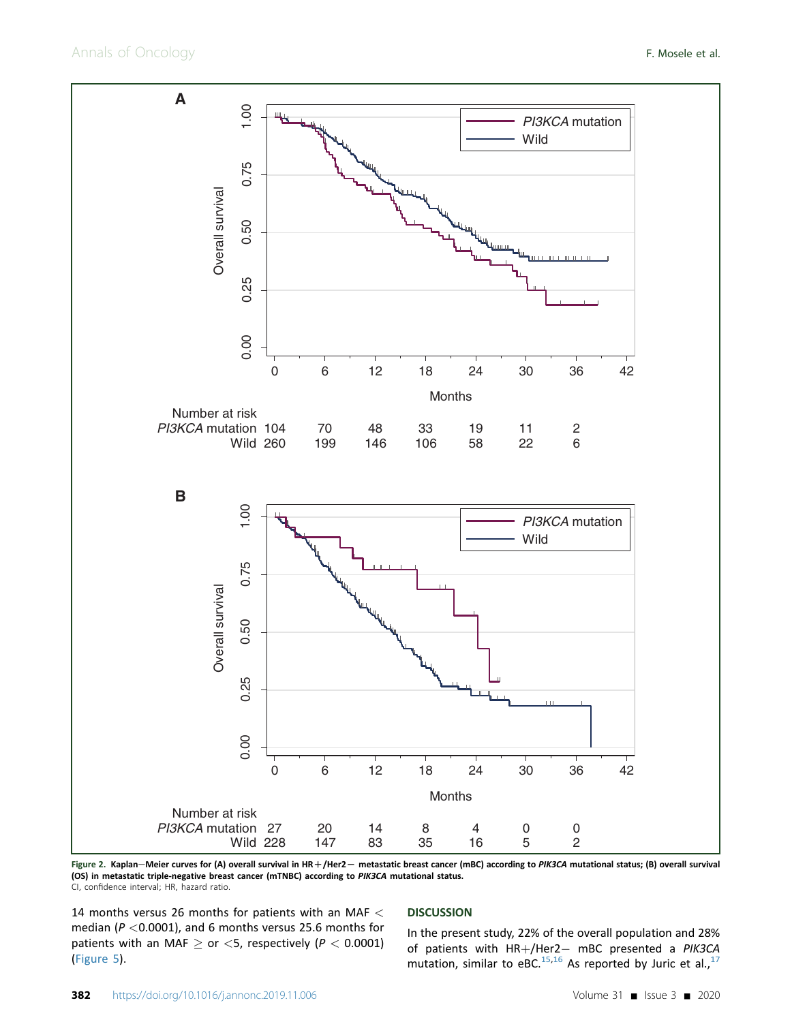<span id="page-5-0"></span>

Figure 2. Kaplan-Meier curves for (A) overall survival in HR+/Her2- metastatic breast cancer (mBC) according to PIK3CA mutational status; (B) overall survival (OS) in metastatic triple-negative breast cancer (mTNBC) according to PIK3CA mutational status. CI, confidence interval; HR, hazard ratio.

14 months versus 26 months for patients with an MAF < median ( $P < 0.0001$ ), and 6 months versus 25.6 months for patients with an MAF  $\geq$  or <5, respectively ( $P < 0.0001$ ) [\(Figure 5](#page-7-0)).

#### **DISCUSSION**

In the present study, 22% of the overall population and 28% of patients with  $HR+/Her2-$  mBC presented a PIK3CA mutation, similar to eBC.<sup>[15](#page-8-0),[16](#page-8-0)</sup> As reported by Juric et al.,<sup>[17](#page-8-0)</sup>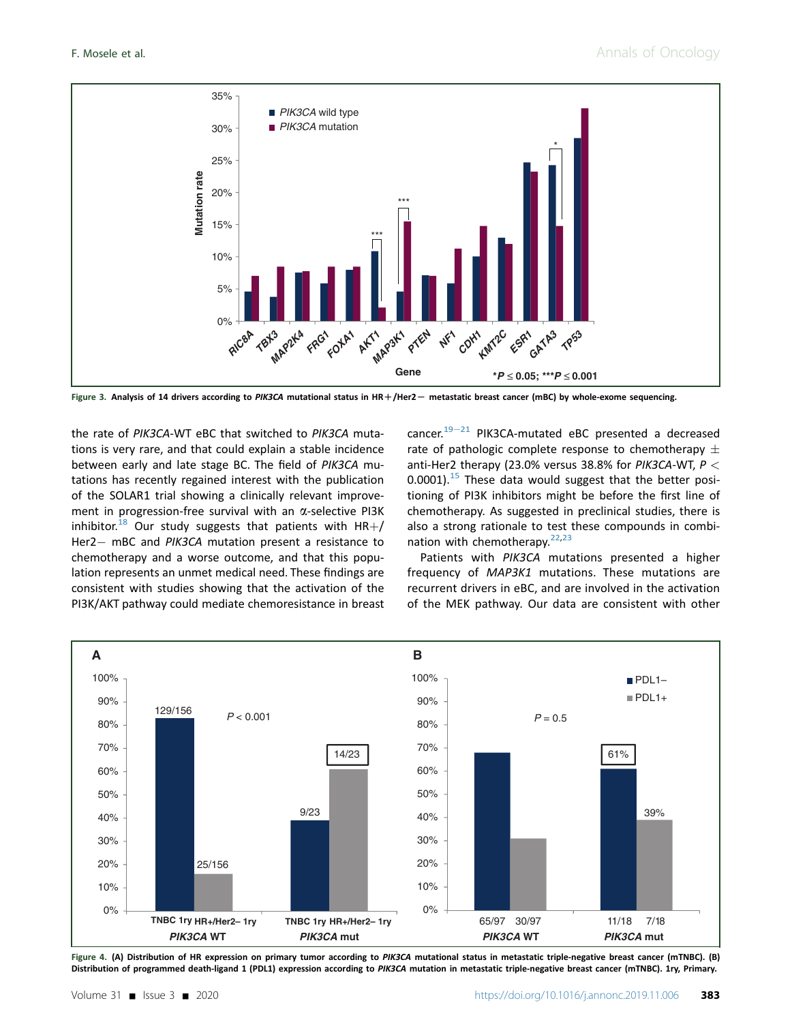<span id="page-6-0"></span>

Figure 3. Analysis of 14 drivers according to PIK3CA mutational status in HR+/Her2- metastatic breast cancer (mBC) by whole-exome sequencing.

the rate of PIK3CA-WT eBC that switched to PIK3CA mutations is very rare, and that could explain a stable incidence between early and late stage BC. The field of PIK3CA mutations has recently regained interest with the publication of the SOLAR1 trial showing a clinically relevant improvement in progression-free survival with an  $\alpha$ -selective PI3K inhibitor.<sup>[18](#page-8-0)</sup> Our study suggests that patients with HR+/ Her2- mBC and PIK3CA mutation present a resistance to chemotherapy and a worse outcome, and that this population represents an unmet medical need. These findings are consistent with studies showing that the activation of the PI3K/AKT pathway could mediate chemoresistance in breast cancer. $19-21$  $19-21$  $19-21$  PIK3CA-mutated eBC presented a decreased rate of pathologic complete response to chemotherapy  $\pm$ anti-Her2 therapy (23.0% versus 38.8% for PIK3CA-WT,  $P <$  $0.0001$ ).<sup>[15](#page-8-0)</sup> These data would suggest that the better positioning of PI3K inhibitors might be before the first line of chemotherapy. As suggested in preclinical studies, there is also a strong rationale to test these compounds in combination with chemotherapy. $22,23$ 

Patients with PIK3CA mutations presented a higher frequency of MAP3K1 mutations. These mutations are recurrent drivers in eBC, and are involved in the activation of the MEK pathway. Our data are consistent with other



Figure 4. (A) Distribution of HR expression on primary tumor according to PIK3CA mutational status in metastatic triple-negative breast cancer (mTNBC). (B) Distribution of programmed death-ligand 1 (PDL1) expression according to PIK3CA mutation in metastatic triple-negative breast cancer (mTNBC). 1ry, Primary.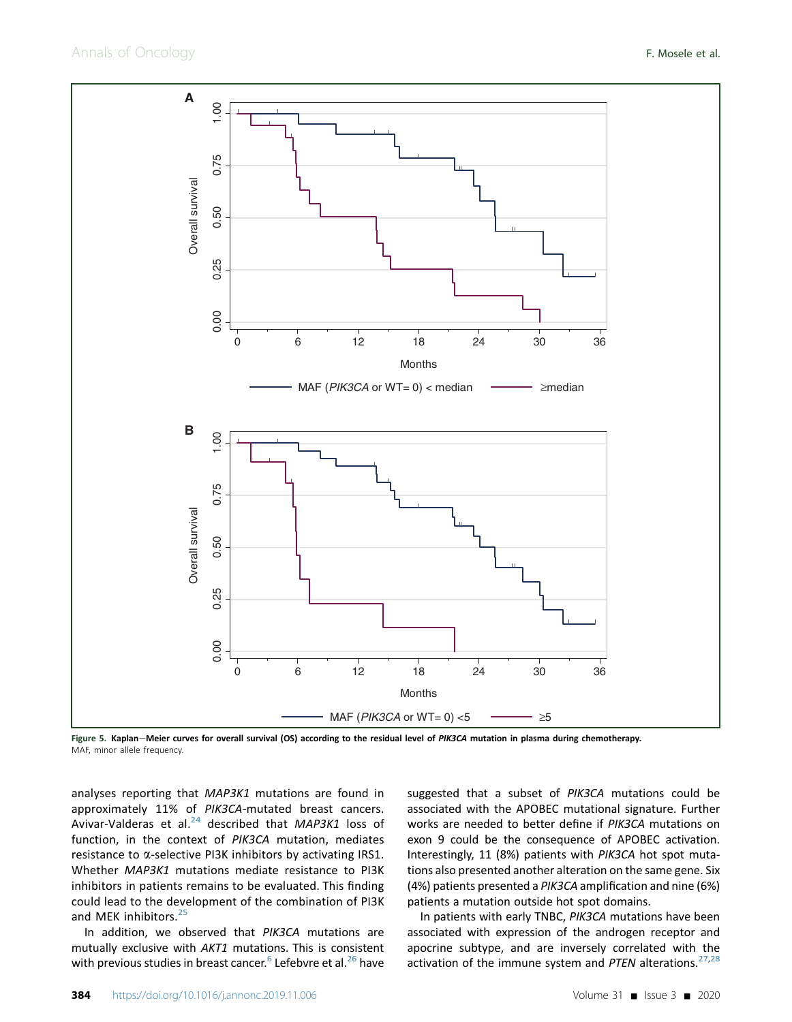<span id="page-7-0"></span>

Figure 5. Kaplan-Meier curves for overall survival (OS) according to the residual level of PIK3CA mutation in plasma during chemotherapy. MAF, minor allele frequency.

analyses reporting that MAP3K1 mutations are found in approximately 11% of PIK3CA-mutated breast cancers. Avivar-Valderas et al. $^{24}$  $^{24}$  $^{24}$  described that MAP3K1 loss of function, in the context of PIK3CA mutation, mediates resistance to  $\alpha$ -selective PI3K inhibitors by activating IRS1. Whether MAP3K1 mutations mediate resistance to PI3K inhibitors in patients remains to be evaluated. This finding could lead to the development of the combination of PI3K and MEK inhibitors.<sup>[25](#page-9-0)</sup>

In addition, we observed that PIK3CA mutations are mutually exclusive with AKT1 mutations. This is consistent with previous studies in breast cancer.<sup>[6](#page-8-0)</sup> Lefebvre et al.<sup>[26](#page-9-0)</sup> have suggested that a subset of PIK3CA mutations could be associated with the APOBEC mutational signature. Further works are needed to better define if PIK3CA mutations on exon 9 could be the consequence of APOBEC activation. Interestingly, 11 (8%) patients with PIK3CA hot spot mutations also presented another alteration on the same gene. Six (4%) patients presented a PIK3CA amplification and nine (6%) patients a mutation outside hot spot domains.

In patients with early TNBC, PIK3CA mutations have been associated with expression of the androgen receptor and apocrine subtype, and are inversely correlated with the activation of the immune system and PTEN alterations. $27,28$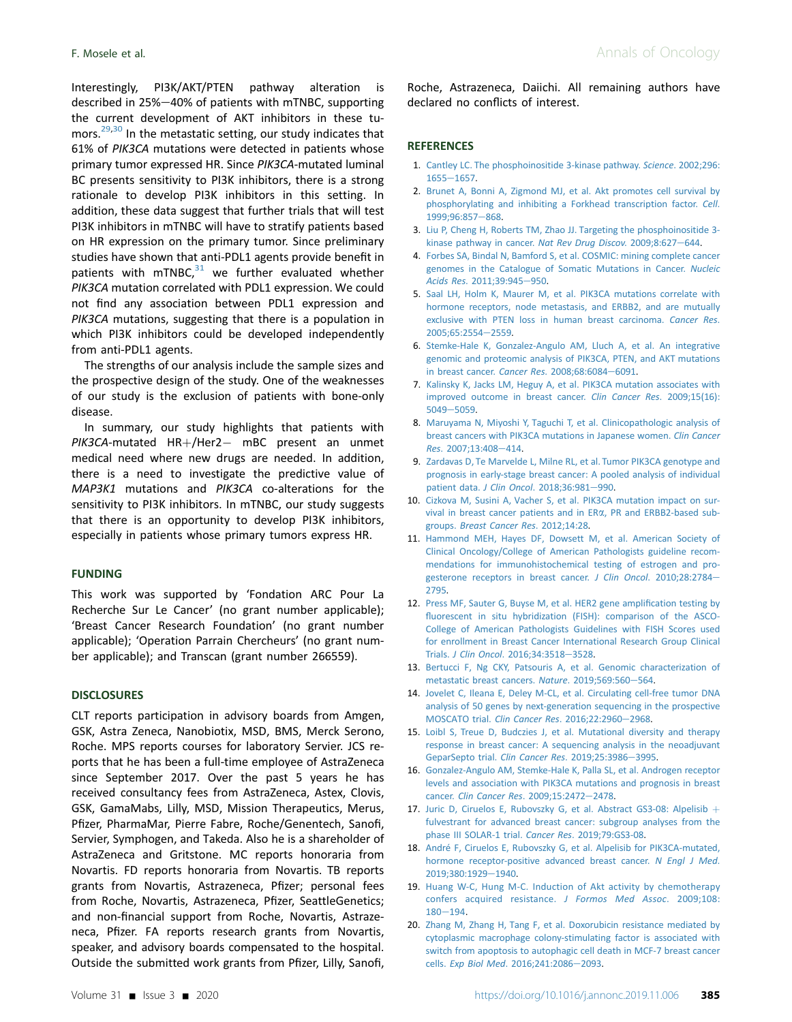<span id="page-8-0"></span>Interestingly, PI3K/AKT/PTEN pathway alteration is described in  $25\% - 40\%$  of patients with mTNBC, supporting the current development of AKT inhibitors in these tumors. $^{29,30}$  In the metastatic setting, our study indicates that 61% of PIK3CA mutations were detected in patients whose primary tumor expressed HR. Since PIK3CA-mutated luminal BC presents sensitivity to PI3K inhibitors, there is a strong rationale to develop PI3K inhibitors in this setting. In addition, these data suggest that further trials that will test PI3K inhibitors in mTNBC will have to stratify patients based on HR expression on the primary tumor. Since preliminary studies have shown that anti-PDL1 agents provide benefit in patients with mTNBC, $31$  we further evaluated whether PIK3CA mutation correlated with PDL1 expression. We could not find any association between PDL1 expression and PIK3CA mutations, suggesting that there is a population in which PI3K inhibitors could be developed independently from anti-PDL1 agents.

The strengths of our analysis include the sample sizes and the prospective design of the study. One of the weaknesses of our study is the exclusion of patients with bone-only disease.

In summary, our study highlights that patients with PIK3CA-mutated HR+/Her2- mBC present an unmet medical need where new drugs are needed. In addition, there is a need to investigate the predictive value of MAP3K1 mutations and PIK3CA co-alterations for the sensitivity to PI3K inhibitors. In mTNBC, our study suggests that there is an opportunity to develop PI3K inhibitors, especially in patients whose primary tumors express HR.

#### FUNDING

This work was supported by 'Fondation ARC Pour La Recherche Sur Le Cancer' (no grant number applicable); 'Breast Cancer Research Foundation' (no grant number applicable); 'Operation Parrain Chercheurs' (no grant number applicable); and Transcan (grant number 266559).

#### DISCLOSURES

CLT reports participation in advisory boards from Amgen, GSK, Astra Zeneca, Nanobiotix, MSD, BMS, Merck Serono, Roche. MPS reports courses for laboratory Servier. JCS reports that he has been a full-time employee of AstraZeneca since September 2017. Over the past 5 years he has received consultancy fees from AstraZeneca, Astex, Clovis, GSK, GamaMabs, Lilly, MSD, Mission Therapeutics, Merus, Pfizer, PharmaMar, Pierre Fabre, Roche/Genentech, Sanofi, Servier, Symphogen, and Takeda. Also he is a shareholder of AstraZeneca and Gritstone. MC reports honoraria from Novartis. FD reports honoraria from Novartis. TB reports grants from Novartis, Astrazeneca, Pfizer; personal fees from Roche, Novartis, Astrazeneca, Pfizer, SeattleGenetics; and non-financial support from Roche, Novartis, Astrazeneca, Pfizer. FA reports research grants from Novartis, speaker, and advisory boards compensated to the hospital. Outside the submitted work grants from Pfizer, Lilly, Sanofi,

Roche, Astrazeneca, Daiichi. All remaining authors have declared no conflicts of interest.

## **REFERENCES**

- 1. [Cantley LC. The phosphoinositide 3-kinase pathway.](http://refhub.elsevier.com/S0923-7534(19)39094-5/sref1) Science. 2002;296:  $1655 - 1657.$  $1655 - 1657.$  $1655 - 1657.$
- 2. [Brunet A, Bonni A, Zigmond MJ, et al. Akt promotes cell survival by](http://refhub.elsevier.com/S0923-7534(19)39094-5/sref2) [phosphorylating and inhibiting a Forkhead transcription factor.](http://refhub.elsevier.com/S0923-7534(19)39094-5/sref2) Cell. [1999;96:857](http://refhub.elsevier.com/S0923-7534(19)39094-5/sref2)-[868.](http://refhub.elsevier.com/S0923-7534(19)39094-5/sref2)
- 3. [Liu P, Cheng H, Roberts TM, Zhao JJ. Targeting the phosphoinositide 3](http://refhub.elsevier.com/S0923-7534(19)39094-5/sref3) [kinase pathway in cancer.](http://refhub.elsevier.com/S0923-7534(19)39094-5/sref3) Nat Rev Drug Discov. 2009;8:627-[644](http://refhub.elsevier.com/S0923-7534(19)39094-5/sref3).
- 4. [Forbes SA, Bindal N, Bamford S, et al. COSMIC: mining complete cancer](http://refhub.elsevier.com/S0923-7534(19)39094-5/sref4) [genomes in the Catalogue of Somatic Mutations in Cancer.](http://refhub.elsevier.com/S0923-7534(19)39094-5/sref4) Nucleic Acids Res[. 2011;39:945](http://refhub.elsevier.com/S0923-7534(19)39094-5/sref4)-[950.](http://refhub.elsevier.com/S0923-7534(19)39094-5/sref4)
- 5. [Saal LH, Holm K, Maurer M, et al. PIK3CA mutations correlate with](http://refhub.elsevier.com/S0923-7534(19)39094-5/sref5) [hormone receptors, node metastasis, and ERBB2, and are mutually](http://refhub.elsevier.com/S0923-7534(19)39094-5/sref5) [exclusive with PTEN loss in human breast carcinoma.](http://refhub.elsevier.com/S0923-7534(19)39094-5/sref5) Cancer Res. [2005;65:2554](http://refhub.elsevier.com/S0923-7534(19)39094-5/sref5)-[2559.](http://refhub.elsevier.com/S0923-7534(19)39094-5/sref5)
- 6. [Stemke-Hale K, Gonzalez-Angulo AM, Lluch A, et al. An integrative](http://refhub.elsevier.com/S0923-7534(19)39094-5/sref6) [genomic and proteomic analysis of PIK3CA, PTEN, and AKT mutations](http://refhub.elsevier.com/S0923-7534(19)39094-5/sref6) [in breast cancer.](http://refhub.elsevier.com/S0923-7534(19)39094-5/sref6) Cancer Res.  $2008;68:6084-6091$ .
- 7. [Kalinsky K, Jacks LM, Heguy A, et al. PIK3CA mutation associates with](http://refhub.elsevier.com/S0923-7534(19)39094-5/sref7) [improved outcome in breast cancer.](http://refhub.elsevier.com/S0923-7534(19)39094-5/sref7) Clin Cancer Res. 2009;15(16): [5049](http://refhub.elsevier.com/S0923-7534(19)39094-5/sref7)-[5059.](http://refhub.elsevier.com/S0923-7534(19)39094-5/sref7)
- 8. [Maruyama N, Miyoshi Y, Taguchi T, et al. Clinicopathologic analysis of](http://refhub.elsevier.com/S0923-7534(19)39094-5/sref8) [breast cancers with PIK3CA mutations in Japanese women.](http://refhub.elsevier.com/S0923-7534(19)39094-5/sref8) Clin Cancer Res[. 2007;13:408](http://refhub.elsevier.com/S0923-7534(19)39094-5/sref8)-[414](http://refhub.elsevier.com/S0923-7534(19)39094-5/sref8).
- 9. [Zardavas D, Te Marvelde L, Milne RL, et al. Tumor PIK3CA genotype and](http://refhub.elsevier.com/S0923-7534(19)39094-5/sref9) [prognosis in early-stage breast cancer: A pooled analysis of individual](http://refhub.elsevier.com/S0923-7534(19)39094-5/sref9) patient data. J Clin Oncol[. 2018;36:981](http://refhub.elsevier.com/S0923-7534(19)39094-5/sref9)-[990](http://refhub.elsevier.com/S0923-7534(19)39094-5/sref9).
- 10. [Cizkova M, Susini A, Vacher S, et al. PIK3CA mutation impact on sur](http://refhub.elsevier.com/S0923-7534(19)39094-5/sref10)[vival in breast cancer patients and in ER](http://refhub.elsevier.com/S0923-7534(19)39094-5/sref10)a, PR and ERBB2-based subgroups. [Breast Cancer Res](http://refhub.elsevier.com/S0923-7534(19)39094-5/sref10). 2012;14:28.
- 11. [Hammond MEH, Hayes DF, Dowsett M, et al. American Society of](http://refhub.elsevier.com/S0923-7534(19)39094-5/sref11) [Clinical Oncology/College of American Pathologists guideline recom](http://refhub.elsevier.com/S0923-7534(19)39094-5/sref11)[mendations for immunohistochemical testing of estrogen and pro](http://refhub.elsevier.com/S0923-7534(19)39094-5/sref11)[gesterone receptors in breast cancer.](http://refhub.elsevier.com/S0923-7534(19)39094-5/sref11) J Clin Oncol. 2010;28:2784-[2795](http://refhub.elsevier.com/S0923-7534(19)39094-5/sref11).
- 12. [Press MF, Sauter G, Buyse M, et al. HER2 gene ampli](http://refhub.elsevier.com/S0923-7534(19)39094-5/sref12)fication testing by fl[uorescent in situ hybridization \(FISH\): comparison of the ASCO-](http://refhub.elsevier.com/S0923-7534(19)39094-5/sref12)[College of American Pathologists Guidelines with FISH Scores used](http://refhub.elsevier.com/S0923-7534(19)39094-5/sref12) [for enrollment in Breast Cancer International Research Group Clinical](http://refhub.elsevier.com/S0923-7534(19)39094-5/sref12) Trials. J Clin Oncol[. 2016;34:3518](http://refhub.elsevier.com/S0923-7534(19)39094-5/sref12)-[3528.](http://refhub.elsevier.com/S0923-7534(19)39094-5/sref12)
- 13. [Bertucci F, Ng CKY, Patsouris A, et al. Genomic characterization of](http://refhub.elsevier.com/S0923-7534(19)39094-5/sref13) [metastatic breast cancers.](http://refhub.elsevier.com/S0923-7534(19)39094-5/sref13) Nature. 2019;569:560-[564](http://refhub.elsevier.com/S0923-7534(19)39094-5/sref13).
- 14. [Jovelet C, Ileana E, Deley M-CL, et al. Circulating cell-free tumor DNA](http://refhub.elsevier.com/S0923-7534(19)39094-5/sref14) [analysis of 50 genes by next-generation sequencing in the prospective](http://refhub.elsevier.com/S0923-7534(19)39094-5/sref14) [MOSCATO trial.](http://refhub.elsevier.com/S0923-7534(19)39094-5/sref14) Clin Cancer Res. 2016;22:2960-[2968](http://refhub.elsevier.com/S0923-7534(19)39094-5/sref14).
- 15. [Loibl S, Treue D, Budczies J, et al. Mutational diversity and therapy](http://refhub.elsevier.com/S0923-7534(19)39094-5/sref15) [response in breast cancer: A sequencing analysis in the neoadjuvant](http://refhub.elsevier.com/S0923-7534(19)39094-5/sref15) [GeparSepto trial.](http://refhub.elsevier.com/S0923-7534(19)39094-5/sref15) Clin Cancer Res. 2019;25:3986-[3995.](http://refhub.elsevier.com/S0923-7534(19)39094-5/sref15)
- 16. [Gonzalez-Angulo AM, Stemke-Hale K, Palla SL, et al. Androgen receptor](http://refhub.elsevier.com/S0923-7534(19)39094-5/sref16) [levels and association with PIK3CA mutations and prognosis in breast](http://refhub.elsevier.com/S0923-7534(19)39094-5/sref16) cancer. [Clin Cancer Res](http://refhub.elsevier.com/S0923-7534(19)39094-5/sref16). 2009;15:2472-[2478.](http://refhub.elsevier.com/S0923-7534(19)39094-5/sref16)
- 17. [Juric D, Ciruelos E, Rubovszky G, et al. Abstract GS3-08: Alpelisib](http://refhub.elsevier.com/S0923-7534(19)39094-5/sref17) + [fulvestrant for advanced breast cancer: subgroup analyses from the](http://refhub.elsevier.com/S0923-7534(19)39094-5/sref17) [phase III SOLAR-1 trial.](http://refhub.elsevier.com/S0923-7534(19)39094-5/sref17) Cancer Res. 2019;79:GS3-08.
- 18. [André F, Ciruelos E, Rubovszky G, et al. Alpelisib for PIK3CA-mutated,](http://refhub.elsevier.com/S0923-7534(19)39094-5/sref18) [hormone receptor-positive advanced breast cancer.](http://refhub.elsevier.com/S0923-7534(19)39094-5/sref18) N Engl J Med. 2019:380:1929-[1940](http://refhub.elsevier.com/S0923-7534(19)39094-5/sref18).
- 19. [Huang W-C, Hung M-C. Induction of Akt activity by chemotherapy](http://refhub.elsevier.com/S0923-7534(19)39094-5/sref19) [confers acquired resistance.](http://refhub.elsevier.com/S0923-7534(19)39094-5/sref19) J Formos Med Assoc. 2009;108:  $180 - 194.$  $180 - 194.$  $180 - 194.$  $180 - 194.$
- 20. [Zhang M, Zhang H, Tang F, et al. Doxorubicin resistance mediated by](http://refhub.elsevier.com/S0923-7534(19)39094-5/sref20) [cytoplasmic macrophage colony-stimulating factor is associated with](http://refhub.elsevier.com/S0923-7534(19)39094-5/sref20) [switch from apoptosis to autophagic cell death in MCF-7 breast cancer](http://refhub.elsevier.com/S0923-7534(19)39094-5/sref20) cells. Exp Biol Med[. 2016;241:2086](http://refhub.elsevier.com/S0923-7534(19)39094-5/sref20)-[2093](http://refhub.elsevier.com/S0923-7534(19)39094-5/sref20).